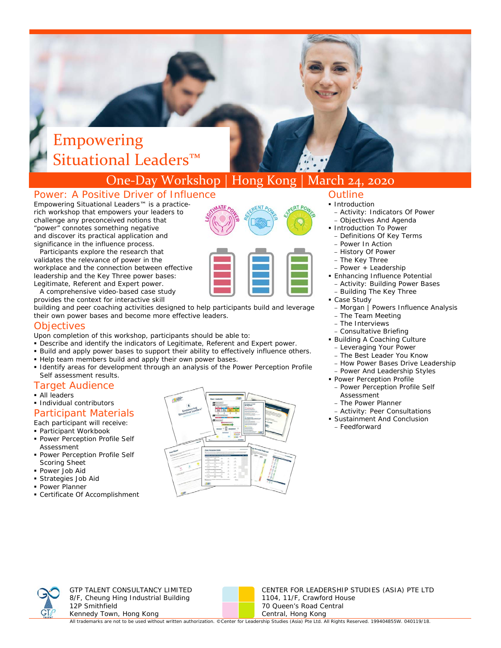# Empowering Situational Leaders<sup>™</sup>

## One‐Day Workshop | Hong Kong | March 24, 2020

### Power: A Positive Driver of Influence

*Empowering Situational Leaders™* is a practicerich workshop that empowers your leaders to challenge any preconceived notions that "power" connotes something negative and discover its practical application and significance in the i nfluence process.

Legitimate, Referent and Expert power. Participants explore the research that validates the relevance of power in the workplace and the connection between effective leadership and the Key Three power bases:

A comprehensive video-based case study provides the context for interactive skill

building and peer coaching activities designed to help participants build and leverage their own power bases and become more effective leaders.

#### Objectives

- Upon completion of this workshop, participants should be able to:
- Describe and identify the indicators of Legitimate, Referent and Expert power.
- Build and apply power bases to support their ability to effectively influence others.
- Help team members build and apply their own power bases.
- Identify areas for development through an analysis of the *Power Perception Profile Self* assessment results.

#### Target Audience

- All leaders
- **Individual contributors**

#### Participant Materials

Each participant will receive:

- Participant Workbook
- **Power Perception Profile Self** Assessment
- **Power Perception Profile Self** Scoring Sheet
- Power Job Aid
- Strategies Job Aid
- **Power Planner**
- Certificate Of Accomplishment



#### **Outline**

- **Introduction** 
	- Activity: Indicators Of Power
- Objectives And Agenda **Introduction To Power**
- Definitions Of Key Terms
- Power In Action
- History Of Power
- The Key Three
- Power + Leadership
- **Enhancing Influence Potential** 
	- Activity: Building Power Bases
	- Building The Key Three
- Case Study
- Morgan | Powers Influence Analysis
- The Team Meeting
- The Interviews
- Consultative Briefing
- Building A Coaching Culture
	- Leveraging Your Power
- The Best Leader You Know – How Power Bases Drive Leadership
- Power And Leadership Styles
- **Power Perception Profile**
- Power Perception Profile Self Assessment
- The Power Planner
- Activity: Peer Consultations
- Sustainment And Conclusion
- Feedforward



GTP TALENT CONSULTANCY LIMITED 8/F, Cheung Hing Industrial Building 12P Smithfield Kennedy Town, Hong Kong



CENTER FOR LEADERSHIP STUDIES (ASIA) PTE LTD 1104, 11/F, Crawford House 70 Queen's Road Central Central, Hong Kong